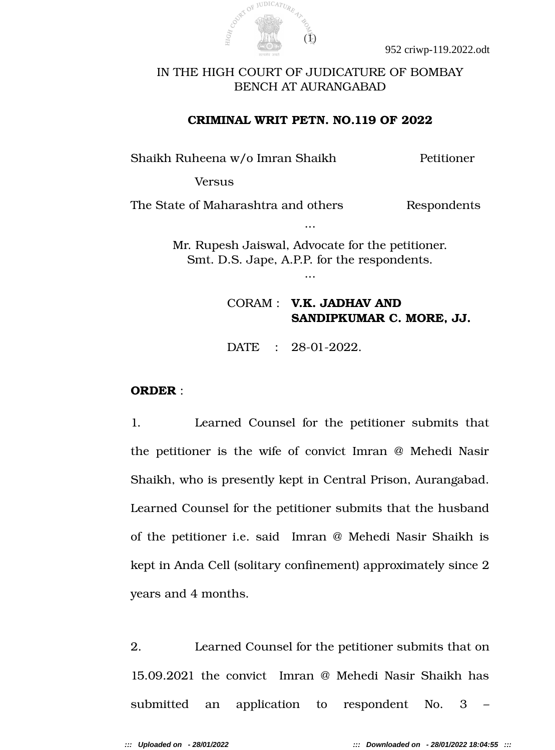

# IN THE HIGH COURT OF JUDICATURE OF BOMBAY BENCH AT AURANGABAD

### **CRIMINAL WRIT PETN. NO.119 OF 2022**

Shaikh Ruheena w/o Imran Shaikh Petitioner

Versus

The State of Maharashtra and others Respondents

Mr. Rupesh Jaiswal, Advocate for the petitioner. Smt. D.S. Jape, A.P.P. for the respondents.

...

...

# CORAM : **V.K. JADHAV AND SANDIPKUMAR C. MORE, JJ.**

DATE : 28-01-2022.

#### **ORDER** :

1. Learned Counsel for the petitioner submits that the petitioner is the wife of convict Imran @ Mehedi Nasir Shaikh, who is presently kept in Central Prison, Aurangabad. Learned Counsel for the petitioner submits that the husband of the petitioner i.e. said Imran @ Mehedi Nasir Shaikh is kept in Anda Cell (solitary confnement) approximately since 2 years and 4 months.

2. Learned Counsel for the petitioner submits that on 15.09.2021 the convict Imran @ Mehedi Nasir Shaikh has submitted an application to respondent No. 3 –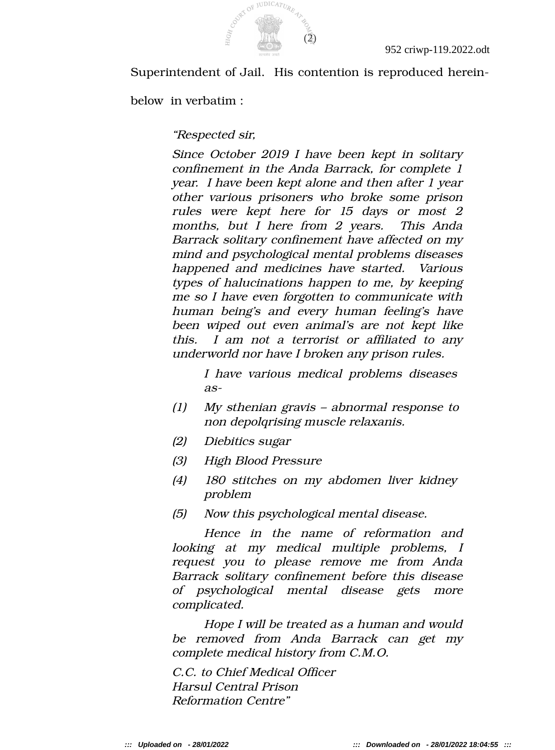

Superintendent of Jail. His contention is reproduced herein-

below in verbatim :

"Respected sir,

Since October 2019 I have been kept in solitary confnement in the Anda Barrack, for complete 1 year. I have been kept alone and then after 1 year other various prisoners who broke some prison rules were kept here for 15 days or most <sup>2</sup> months, but <sup>I</sup> here from <sup>2</sup> years. This Anda Barrack solitary confnement have affected on my mind and psychological mental problems diseases happened and medicines have started. Various types of halucinations happen to me, by keeping me so I have even forgotten to communicate with human being's and every human feeling's have been wiped out even animal's are not kept like this. <sup>I</sup> am not <sup>a</sup> terrorist or affliated to any underworld nor have I broken any prison rules.

> I have various medical problems diseases as-

- (1) My sthenian gravis abnormal response to non depolqrising muscle relaxanis.
- (2) Diebitics sugar
- (3) High Blood Pressure
- (4) 180 stitches on my abdomen liver kidney problem
- (5) Now this psychological mental disease.

Hence in the name of reformation and looking at my medical multiple problems, <sup>I</sup> request you to please remove me from Anda Barrack solitary confnement before this disease of psychological mental disease gets more complicated.

Hope I will be treated as a human and would be removed from Anda Barrack can get my complete medical history from C.M.O.

C.C. to Chief Medical Officer Harsul Central Prison Reformation Centre"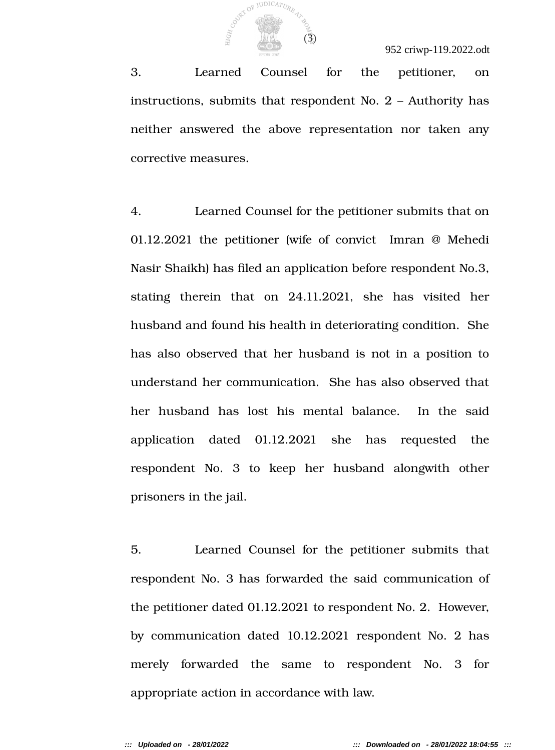

3. Learned Counsel for the petitioner, on instructions, submits that respondent No. 2 – Authority has neither answered the above representation nor taken any corrective measures.

4. Learned Counsel for the petitioner submits that on 01.12.2021 the petitioner (wife of convict Imran @ Mehedi Nasir Shaikh) has fled an application before respondent No.3, stating therein that on 24.11.2021, she has visited her husband and found his health in deteriorating condition. She has also observed that her husband is not in a position to understand her communication. She has also observed that her husband has lost his mental balance. In the said application dated 01.12.2021 she has requested the respondent No. 3 to keep her husband alongwith other prisoners in the jail.

5. Learned Counsel for the petitioner submits that respondent No. 3 has forwarded the said communication of the petitioner dated 01.12.2021 to respondent No. 2. However, by communication dated 10.12.2021 respondent No. 2 has merely forwarded the same to respondent No. 3 for appropriate action in accordance with law.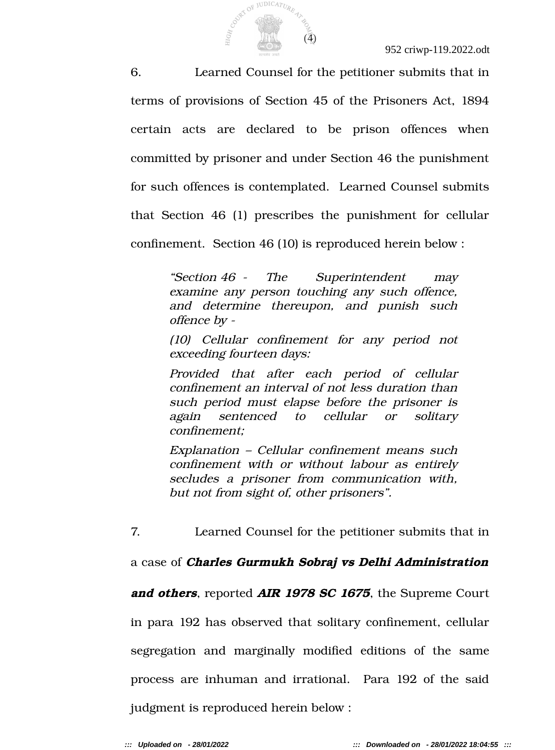Construction of JUDICATURE 47-80

6. Learned Counsel for the petitioner submits that in terms of provisions of Section 45 of the Prisoners Act, 1894 certain acts are declared to be prison offences when committed by prisoner and under Section 46 the punishment for such offences is contemplated. Learned Counsel submits that Section 46 (1) prescribes the punishment for cellular confnement. Section 46 (10) is reproduced herein below :

> "Section 46 - The Superintendent may examine any person touching any such offence, and determine thereupon, and punish such offence by -

> (10) Cellular confnement for any period not exceeding fourteen days:

> Provided that after each period of cellular confnement an interval of not less duration than such period must elapse before the prisoner is again sentenced to cellular or solitary confinement;

> Explanation – Cellular confnement means such confnement with or without labour as entirely secludes <sup>a</sup> prisoner from communication with, but not from sight of, other prisoners".

7. Learned Counsel for the petitioner submits that in

a case of **Charles Gurmukh Sobraj vs Delhi Administration**

**and others**, reported **AIR 1978 SC 1675**, the Supreme Court

in para 192 has observed that solitary confnement, cellular segregation and marginally modifed editions of the same process are inhuman and irrational. Para 192 of the said judgment is reproduced herein below :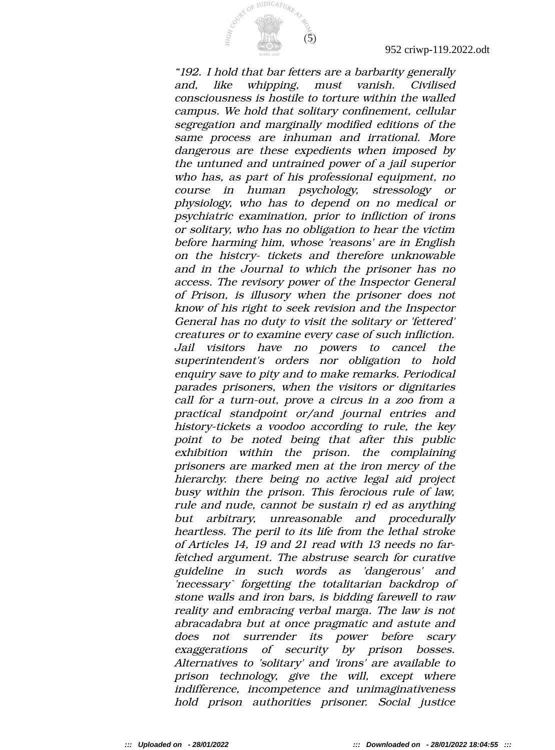

"192. I hold that bar fetters are a barbarity generally and, like whipping, must vanish. Civilised consciousness is hostile to torture within the walled campus. We hold that solitary confnement, cellular segregation and marginally modifed editions of the same process are inhuman and irrational. More dangerous are these expedients when imposed by the untuned and untrained power of a jail superior who has, as part of his professional equipment, no course in human psychology, stressology or physiology, who has to depend on no medical or psychiatric examination, prior to infiction of irons or solitary, who has no obligation to hear the victim before harming him, whose 'reasons' are in English on the histcry- tickets and therefore unknowable and in the Journal to which the prisoner has no access. The revisory power of the Inspector General of Prison, is illusory when the prisoner does not know of his right to seek revision and the Inspector General has no duty to visit the solitary or 'fettered' creatures or to examine every case of such infiction. Jail visitors have no powers to cancel the superintendent's orders nor obligation to hold enquiry save to pity and to make remarks. Periodical parades prisoners, when the visitors or dignitaries call for a turn-out, prove a circus in a zoo from a practical standpoint or/and journal entries and history-tickets a voodoo according to rule, the key point to be noted being that after this public exhibition within the prison. the complaining prisoners are marked men at the iron mercy of the hierarchy. there being no active legal aid project busy within the prison. This ferocious rule of law, rule and nude, cannot be sustain r) ed as anything but arbitrary, unreasonable and procedurally heartless. The peril to its life from the lethal stroke of Articles 14, 19 and 21 read with 13 needs no farfetched argument. The abstruse search for curative guideline in such words as 'dangerous' and 'necessary` forgetting the totalitarian backdrop of stone walls and iron bars, is bidding farewell to raw reality and embracing verbal marga. The law is not abracadabra but at once pragmatic and astute and does not surrender its power before scary exaggerations of security by prison bosses. Alternatives to 'solitary' and 'irons' are available to prison technology, give the will, except where indifference, incompetence and unimaginativeness hold prison authorities prisoner. Social justice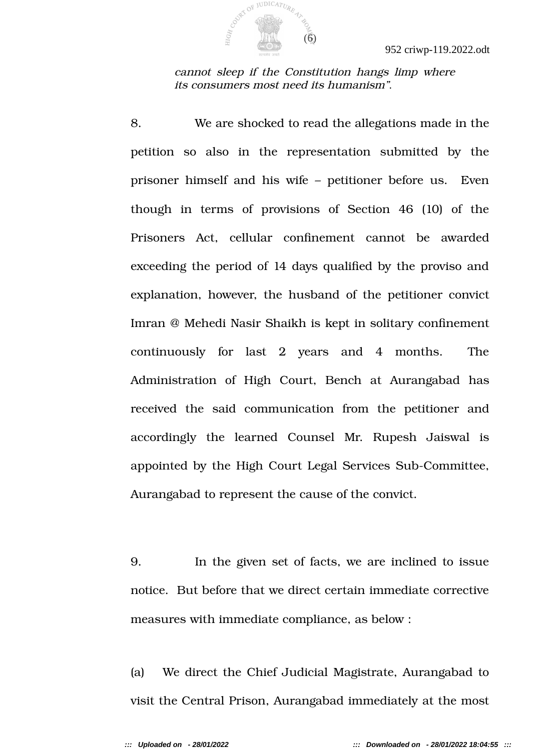

cannot sleep if the Constitution hangs limp where its consumers most need its humanism".

8. We are shocked to read the allegations made in the petition so also in the representation submitted by the prisoner himself and his wife – petitioner before us. Even though in terms of provisions of Section 46 (10) of the Prisoners Act, cellular confnement cannot be awarded exceeding the period of 14 days qualifed by the proviso and explanation, however, the husband of the petitioner convict Imran @ Mehedi Nasir Shaikh is kept in solitary confnement continuously for last 2 years and 4 months. The Administration of High Court, Bench at Aurangabad has received the said communication from the petitioner and accordingly the learned Counsel Mr. Rupesh Jaiswal is appointed by the High Court Legal Services Sub-Committee, Aurangabad to represent the cause of the convict.

9. In the given set of facts, we are inclined to issue notice. But before that we direct certain immediate corrective measures with immediate compliance, as below :

(a) We direct the Chief Judicial Magistrate, Aurangabad to visit the Central Prison, Aurangabad immediately at the most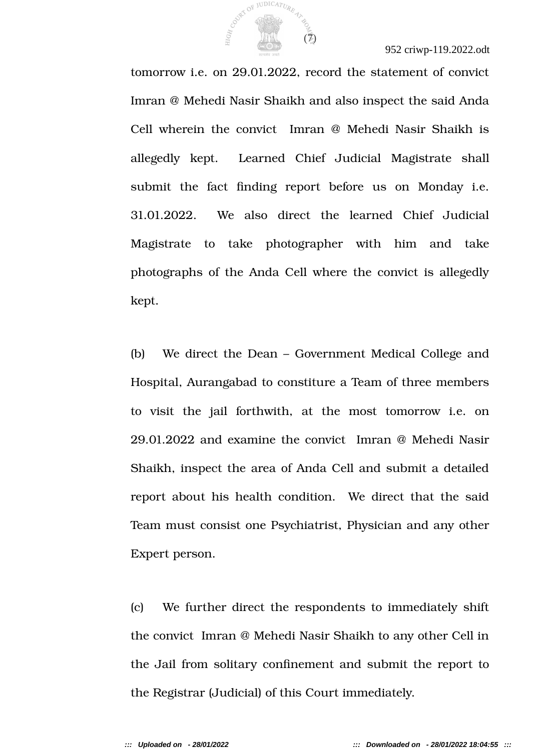

952 criwp-119.2022.odt

tomorrow i.e. on 29.01.2022, record the statement of convict Imran @ Mehedi Nasir Shaikh and also inspect the said Anda Cell wherein the convict Imran @ Mehedi Nasir Shaikh is allegedly kept. Learned Chief Judicial Magistrate shall submit the fact fnding report before us on Monday i.e. 31.01.2022. We also direct the learned Chief Judicial Magistrate to take photographer with him and take photographs of the Anda Cell where the convict is allegedly kept.

(b) We direct the Dean – Government Medical College and Hospital, Aurangabad to constiture a Team of three members to visit the jail forthwith, at the most tomorrow i.e. on 29.01.2022 and examine the convict Imran @ Mehedi Nasir Shaikh, inspect the area of Anda Cell and submit a detailed report about his health condition. We direct that the said Team must consist one Psychiatrist, Physician and any other Expert person.

(c) We further direct the respondents to immediately shift the convict Imran @ Mehedi Nasir Shaikh to any other Cell in the Jail from solitary confnement and submit the report to the Registrar (Judicial) of this Court immediately.